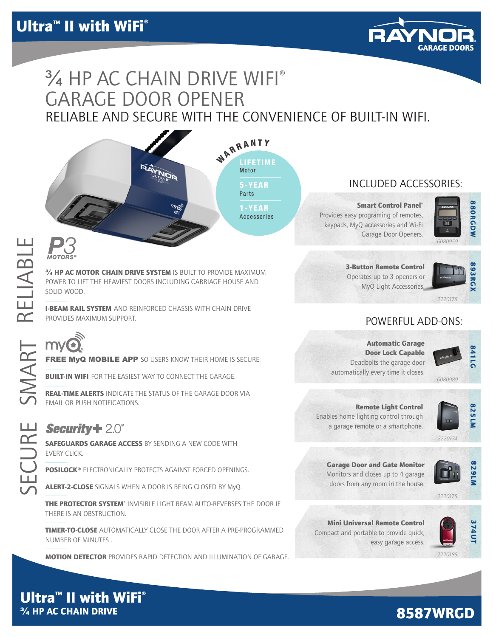

# RELIABLE AND SECURE WITH THE CONVENIENCE OF BUILT-IN WIFI. ¾ HP AC CHAIN DRIVE WIFI® GARAGE DOOR OPENER

WARRANTY LIFETIME Motor 5-YEAR Parts 1-YEAR

Accessories

# INCLUDED ACCESSORIES:

**Smart Control Panel®** Provides easy programing of remotes, keypads, MyQ accessories and Wi-Fi Garage Door Openers.



*6080959*

3-Button Remote Control Operates up to 3 openers or MyQ Light Accessorie



*2220178*

## POWERFUL ADD-ONS:

Automatic Garage Door Lock Capable Deadbolts the garage door automatically every time it closes.



Remote Light Control Enables home lighting control through a garage remote or a smartphone.



Garage Door and Gate Monitor Monitors and closes up to 4 garage doors from any room in the house.



*2220175*

Mini Universal Remote Control Compact and portable to provide quick, easy garage access.



*2220185*

# RELIABLE RELIABLE

# *TIMER-TO-*

 $\frac{3}{4}$  HP AC MOTOR CHAIN DRIVE SYSTEM IS BUILT TO PROVIDE MAXIMUM POWER TO LIFT THE HEAVIEST DOORS INCLUDING CARRIAGE HOUSE AND SOLID WOOD.

**I-BEAM RAIL SYSTEM** AND REINFORCED CHASSIS WITH CHAIN DRIVE PROVIDES MAXIMUM SUPPORT.

**SMARTFREE MYQ MOBILE APP** SO USERS KNOW THEIR HOME IS SECURE.<br> **SMARTFREE MYQ MOBILE APP** SO USERS KNOW THEIR HOME IS SECURE.<br> **SMARTFREE ALERTS** INDICATE THE STATUS OF THE GARAGE DOOR VIA

**BUILT-IN WIFI** FOR THE EASIEST WAY TO CONNECT THE GARAGE.

REAL-TIME ALERTS INDICATE THE STATUS OF THE GARAGE DOOR VIA EMAIL OR PUSH NOTIFICATIONS.

**SECURITY + 2.0<sup>°</sup><br>CC** SAFEGUARDS GARAGE ACCESS BY SENDING A NEW CODE WITH EVERY CLICK.

POSILOCK® ELECTRONICALLY PROTECTS AGAINST FORCED OPENINGS.

ALERT-2-CLOSE SIGNALS WHEN A DOOR IS BEING CLOSED BY MyQ.

THE PROTECTOR SYSTEM<sup>®</sup> INVISIBLE LIGHT BEAM AUTO-REVERSES THE DOOR IF THERE IS AN OBSTRUCTION.

TIMER-TO-CLOSE AUTOMATICALLY CLOSE THE DOOR AFTER A PRE-PROGRAMMED NUMBER OF MINUTES .

**MOTION DETECTOR** PROVIDES RAPID DETECTION AND ILLUMINATION OF GARAGE.

Ultra<sup>™</sup> II with WiFi® ¾ HP AC CHAIN DRIVE

# 8587WRGD